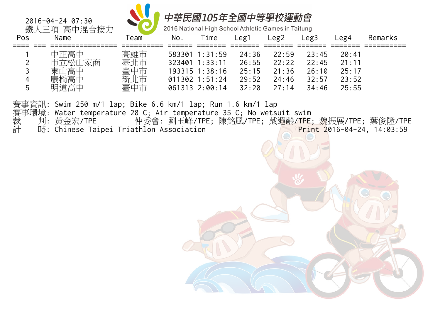

2016 National High School Athletic Games in Taitung

| Pos            | Name                 | Геаm | No.    | $\mathsf{r}$ ime | $_{\text{reg1}}$ | Leg2  | Leg3  | Leg4          | Remarks |
|----------------|----------------------|------|--------|------------------|------------------|-------|-------|---------------|---------|
|                | 中正高中                 | 高雄市  |        | 583301 1:31:59   | 24:36            | 22:59 | 23:45 | 20:41         |         |
| ာ              | 」家商<br>╶╌┐╿╷╱╱╫╶╀╌╶╴ | 臺北市  | 323401 | 1:33:11          | 26:55            | 22:22 | 22:45 | $21 \cdot 11$ |         |
|                | 東山高中                 | 臺中市  |        | 193315 1:38:16   | 25:15            | 21:36 | 26:10 | 25:17         |         |
| $\overline{4}$ | 康橋高中                 | 新北市  |        | $011302$ 1:51:24 | 29:52            | 24:46 | 32:57 | 23:52         |         |
| 5              | 明道高中                 | 臺中市  |        | 061313 2:00:14   | 32:20            | 27:14 | 34:46 | 25:55         |         |

賽事資訊: Swim 250 m/1 lap; Bike 6.6 km/1 lap; Run 1.6 km/1 lap

- 賽事環境: Water temperature 28 C; Air temperature 35 C; No wetsuit swim
- 裁 判:黃金宏/TPE 仲委會:劉玉峰/TPE;陳銘風/TPE;戴遐齡/TPE;魏振展/TPE;葉俊隆/TPE 計 時: Chinese Taipei Triathlon Association Print 2016-04-24, 14:03:59
- 

2016-04-24 07:30

鐵人三項 高中混合接力